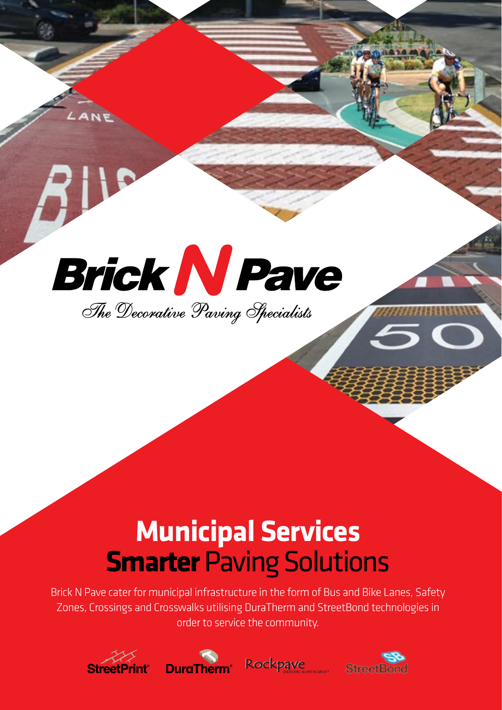

# **Municipal Services Smarter** Paving Solutions

Brick N Pave cater for municipal infrastructure in the form of Bus and Bike Lanes, Safety Zones, Crossings and Crosswalks utilising DuraTherm and StreetBond technologies in order to service the community.







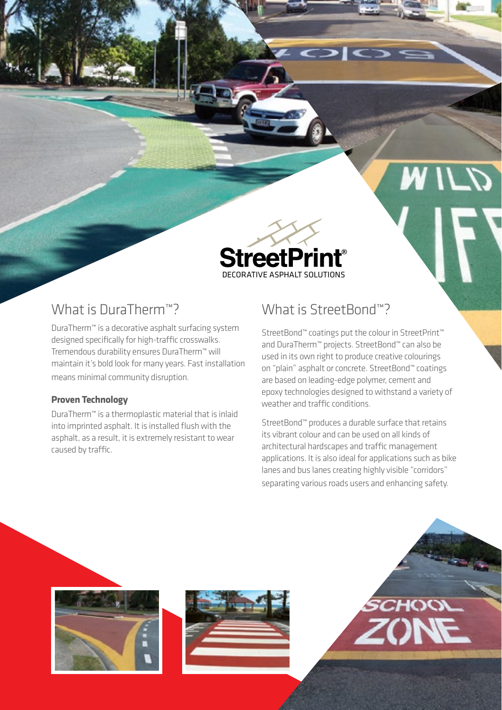

## What is DuraTherm<sup>™?</sup>

DuraTherm™ is a decorative asphalt surfacing system designed specifically for high-traffic crosswalks. Tremendous durability ensures DuraTherm™ will maintain it's bold look for many years. Fast installation means minimal community disruption.

#### **Proven Technology**

DuraTherm™ is a thermoplastic material that is inlaid into imprinted asphalt. It is installed flush with the asphalt, as a result, it is extremely resistant to wear caused by traffic.

## What is StreetBond™?

 $\sup$ 

StreetBond™ coatings put the colour in StreetPrint™ and DuraTherm™ projects. StreetBond™ can also be used in its own right to produce creative colourings on "plain" asphalt or concrete. StreetBond™ coatings are based on leading-edge polymer, cement and epoxy technologies designed to withstand a variety of weather and traffic conditions.

StreetBond™ produces a durable surface that retains its vibrant colour and can be used on all kinds of architectural hardscapes and traffic management applications. It is also ideal for applications such as bike lanes and bus lanes creating highly visible "corridors" separating various roads users and enhancing safety.





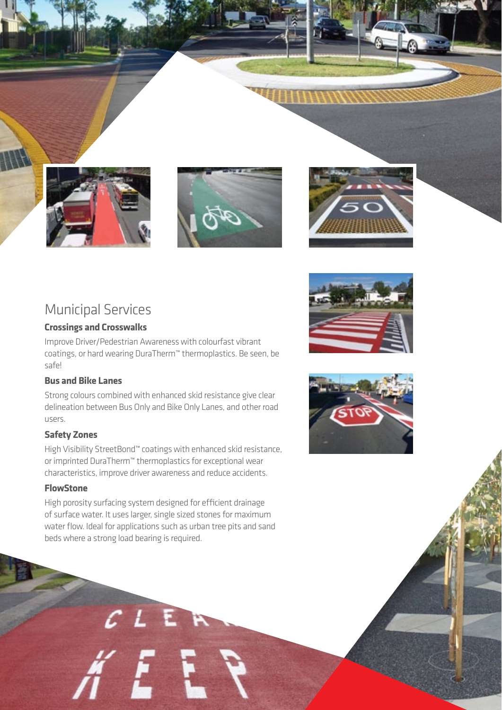





### Municipal Services

#### **Crossings and Crosswalks**

Improve Driver/Pedestrian Awareness with colourfast vibrant coatings, or hard wearing DuraTherm™ thermoplastics. Be seen, be safe!

#### **Bus and Bike Lanes**

Strong colours combined with enhanced skid resistance give clear delineation between Bus Only and Bike Only Lanes, and other road users.

#### **Safety Zones**

High Visibility StreetBond™ coatings with enhanced skid resistance, or imprinted DuraTherm™ thermoplastics for exceptional wear characteristics, improve driver awareness and reduce accidents.

#### **FlowStone**

High porosity surfacing system designed for efficient drainage of surface water. It uses larger, single sized stones for maximum water flow. Ideal for applications such as urban tree pits and sand beds where a strong load bearing is required.